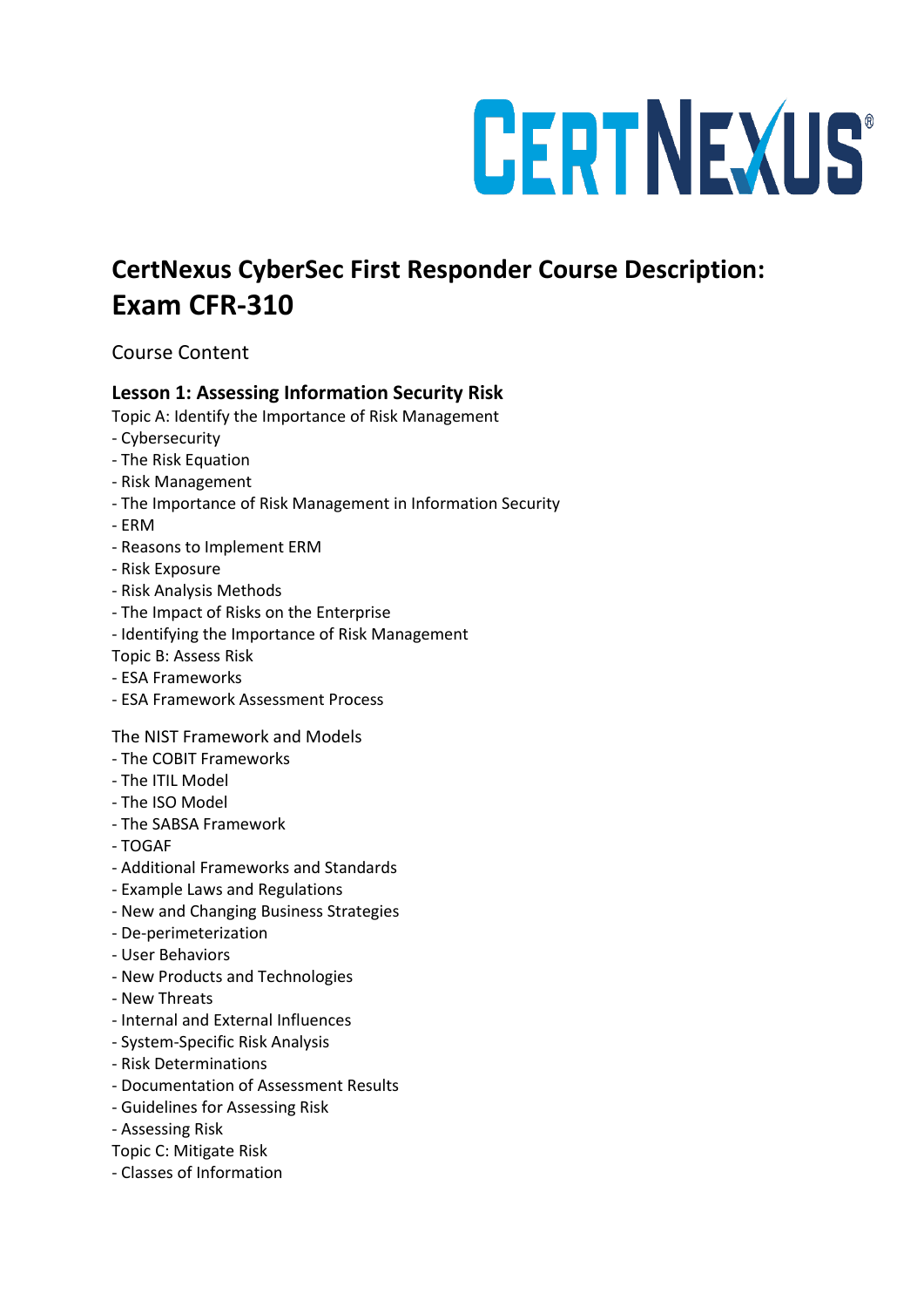# CERTNEXUS®

# **CertNexus CyberSec First Responder Course Description: Exam CFR-310**

## Course Content

### **Lesson 1: Assessing Information Security Risk**

Topic A: Identify the Importance of Risk Management

- Cybersecurity
- The Risk Equation
- Risk Management
- The Importance of Risk Management in Information Security
- ERM
- Reasons to Implement ERM
- Risk Exposure
- Risk Analysis Methods
- The Impact of Risks on the Enterprise
- Identifying the Importance of Risk Management
- Topic B: Assess Risk
- ESA Frameworks
- ESA Framework Assessment Process

#### The NIST Framework and Models

- The COBIT Frameworks
- The ITIL Model
- The ISO Model
- The SABSA Framework
- TOGAF
- Additional Frameworks and Standards
- Example Laws and Regulations
- New and Changing Business Strategies
- De-perimeterization
- User Behaviors
- New Products and Technologies
- New Threats
- Internal and External Influences
- System-Specific Risk Analysis
- Risk Determinations
- Documentation of Assessment Results
- Guidelines for Assessing Risk
- Assessing Risk
- Topic C: Mitigate Risk
- Classes of Information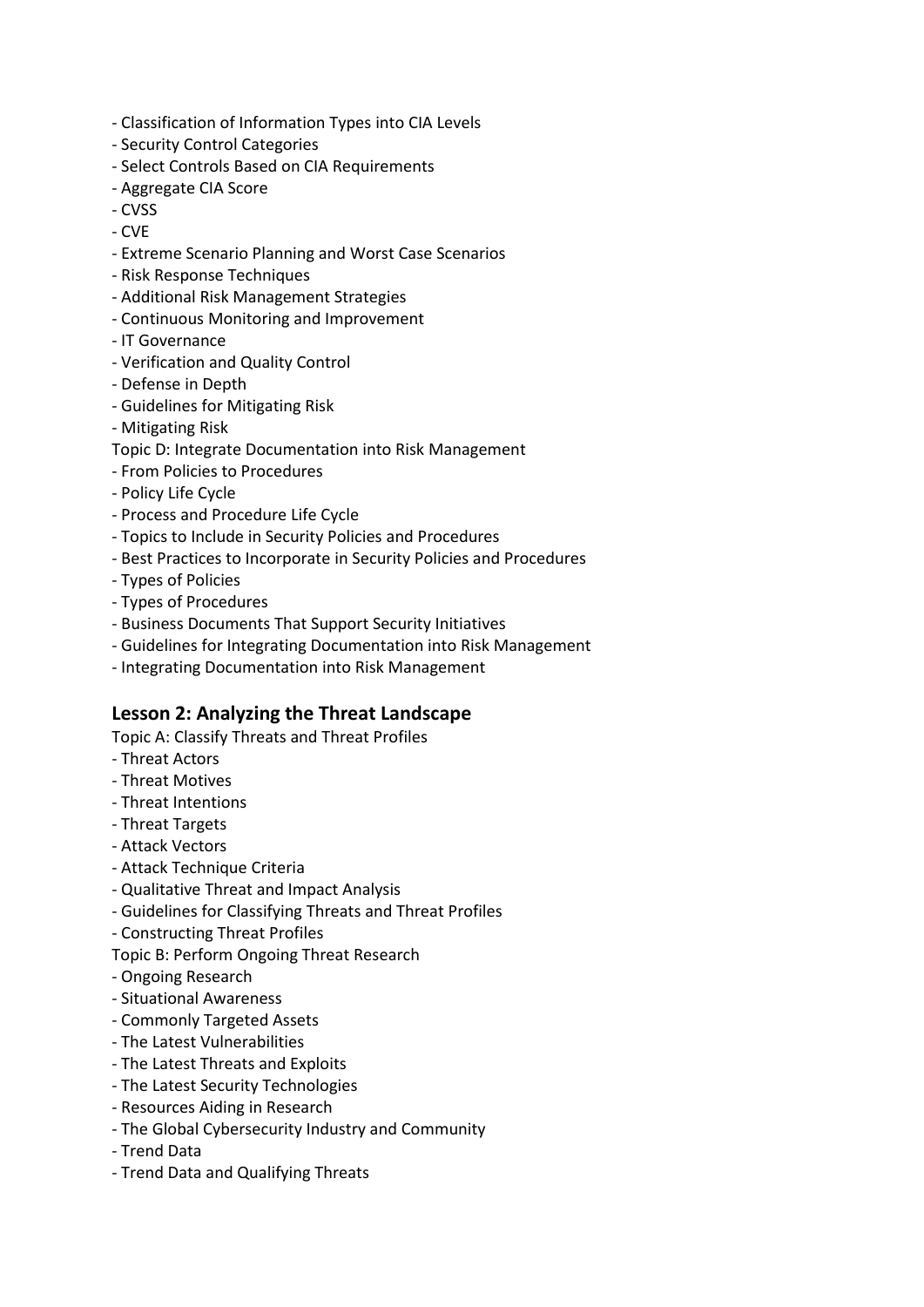- Classification of Information Types into CIA Levels
- Security Control Categories
- Select Controls Based on CIA Requirements
- Aggregate CIA Score
- CVSS
- CVE
- Extreme Scenario Planning and Worst Case Scenarios
- Risk Response Techniques
- Additional Risk Management Strategies
- Continuous Monitoring and Improvement
- IT Governance
- Verification and Quality Control
- Defense in Depth
- Guidelines for Mitigating Risk
- Mitigating Risk
- Topic D: Integrate Documentation into Risk Management
- From Policies to Procedures
- Policy Life Cycle
- Process and Procedure Life Cycle
- Topics to Include in Security Policies and Procedures
- Best Practices to Incorporate in Security Policies and Procedures
- Types of Policies
- Types of Procedures
- Business Documents That Support Security Initiatives
- Guidelines for Integrating Documentation into Risk Management
- Integrating Documentation into Risk Management

#### **Lesson 2: Analyzing the Threat Landscape**

Topic A: Classify Threats and Threat Profiles

- Threat Actors
- Threat Motives
- Threat Intentions
- Threat Targets
- Attack Vectors
- Attack Technique Criteria
- Qualitative Threat and Impact Analysis
- Guidelines for Classifying Threats and Threat Profiles
- Constructing Threat Profiles
- Topic B: Perform Ongoing Threat Research
- Ongoing Research
- Situational Awareness
- Commonly Targeted Assets
- The Latest Vulnerabilities
- The Latest Threats and Exploits
- The Latest Security Technologies
- Resources Aiding in Research
- The Global Cybersecurity Industry and Community
- Trend Data
- Trend Data and Qualifying Threats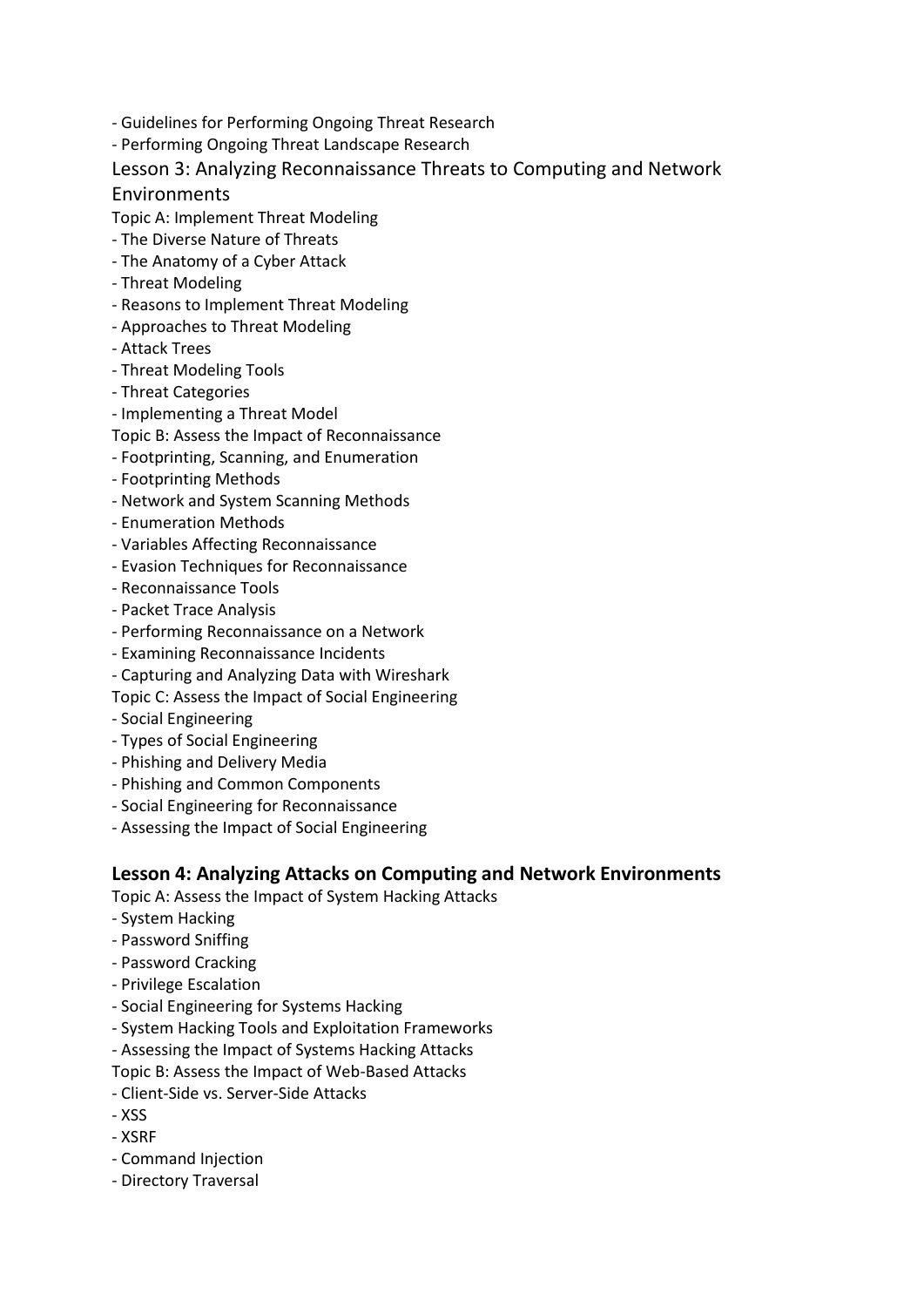- Guidelines for Performing Ongoing Threat Research
- Performing Ongoing Threat Landscape Research

#### Lesson 3: Analyzing Reconnaissance Threats to Computing and Network

#### Environments

- Topic A: Implement Threat Modeling
- The Diverse Nature of Threats
- The Anatomy of a Cyber Attack
- Threat Modeling
- Reasons to Implement Threat Modeling
- Approaches to Threat Modeling
- Attack Trees
- Threat Modeling Tools
- Threat Categories
- Implementing a Threat Model
- Topic B: Assess the Impact of Reconnaissance
- Footprinting, Scanning, and Enumeration
- Footprinting Methods
- Network and System Scanning Methods
- Enumeration Methods
- Variables Affecting Reconnaissance
- Evasion Techniques for Reconnaissance
- Reconnaissance Tools
- Packet Trace Analysis
- Performing Reconnaissance on a Network
- Examining Reconnaissance Incidents
- Capturing and Analyzing Data with Wireshark
- Topic C: Assess the Impact of Social Engineering
- Social Engineering
- Types of Social Engineering
- Phishing and Delivery Media
- Phishing and Common Components
- Social Engineering for Reconnaissance
- Assessing the Impact of Social Engineering

#### **Lesson 4: Analyzing Attacks on Computing and Network Environments**

- Topic A: Assess the Impact of System Hacking Attacks
- System Hacking
- Password Sniffing
- Password Cracking
- Privilege Escalation
- Social Engineering for Systems Hacking
- System Hacking Tools and Exploitation Frameworks
- Assessing the Impact of Systems Hacking Attacks

Topic B: Assess the Impact of Web-Based Attacks

- Client-Side vs. Server-Side Attacks
- XSS
- XSRF
- Command Injection
- Directory Traversal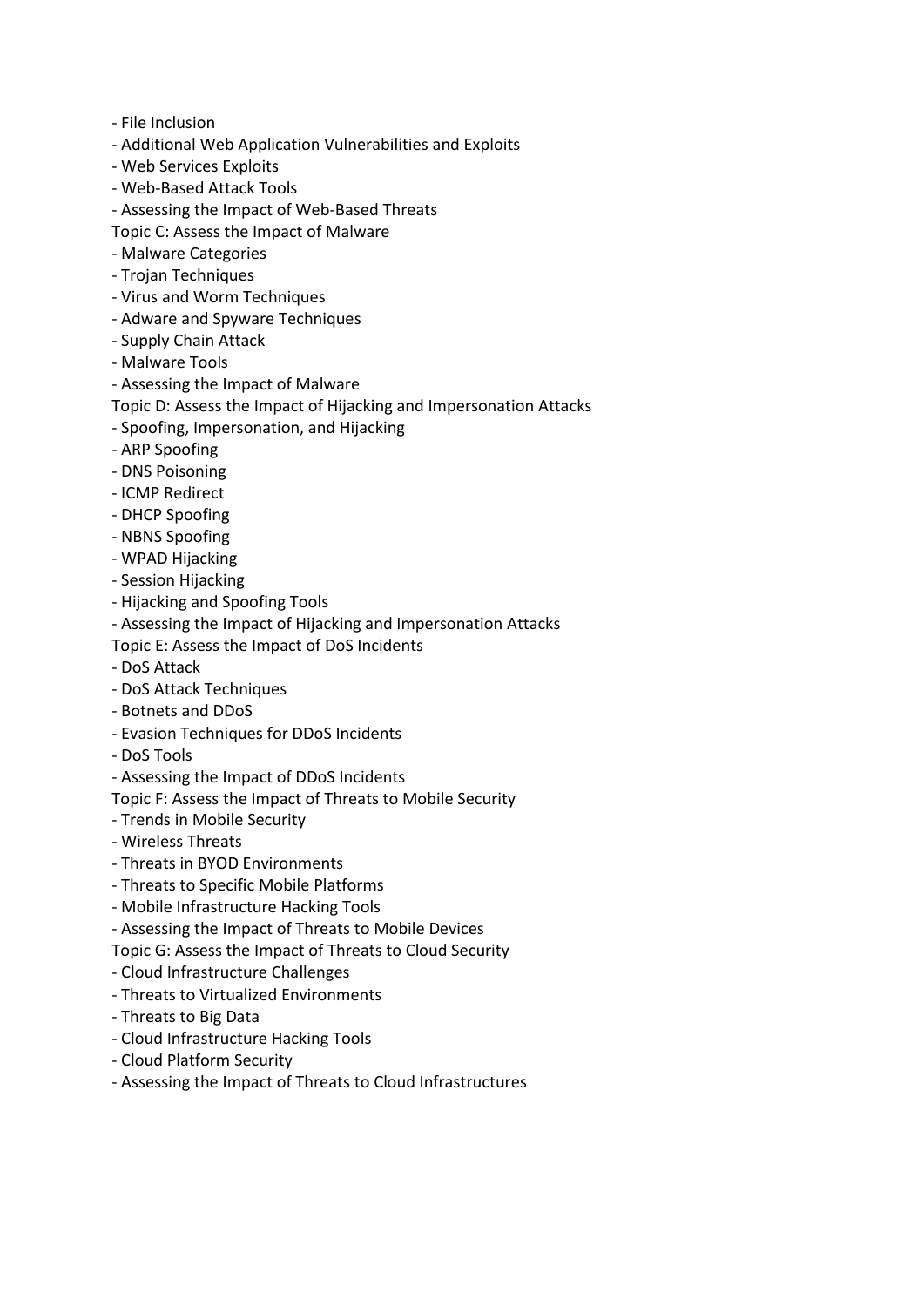- File Inclusion
- Additional Web Application Vulnerabilities and Exploits
- Web Services Exploits
- Web-Based Attack Tools
- Assessing the Impact of Web-Based Threats
- Topic C: Assess the Impact of Malware
- Malware Categories
- Trojan Techniques
- Virus and Worm Techniques
- Adware and Spyware Techniques
- Supply Chain Attack
- Malware Tools
- Assessing the Impact of Malware
- Topic D: Assess the Impact of Hijacking and Impersonation Attacks
- Spoofing, Impersonation, and Hijacking
- ARP Spoofing
- DNS Poisoning
- ICMP Redirect
- DHCP Spoofing
- NBNS Spoofing
- WPAD Hijacking
- Session Hijacking
- Hijacking and Spoofing Tools
- Assessing the Impact of Hijacking and Impersonation Attacks
- Topic E: Assess the Impact of DoS Incidents
- DoS Attack
- DoS Attack Techniques
- Botnets and DDoS
- Evasion Techniques for DDoS Incidents
- DoS Tools
- Assessing the Impact of DDoS Incidents
- Topic F: Assess the Impact of Threats to Mobile Security
- Trends in Mobile Security
- Wireless Threats
- Threats in BYOD Environments
- Threats to Specific Mobile Platforms
- Mobile Infrastructure Hacking Tools
- Assessing the Impact of Threats to Mobile Devices
- Topic G: Assess the Impact of Threats to Cloud Security
- Cloud Infrastructure Challenges
- Threats to Virtualized Environments
- Threats to Big Data
- Cloud Infrastructure Hacking Tools
- Cloud Platform Security
- Assessing the Impact of Threats to Cloud Infrastructures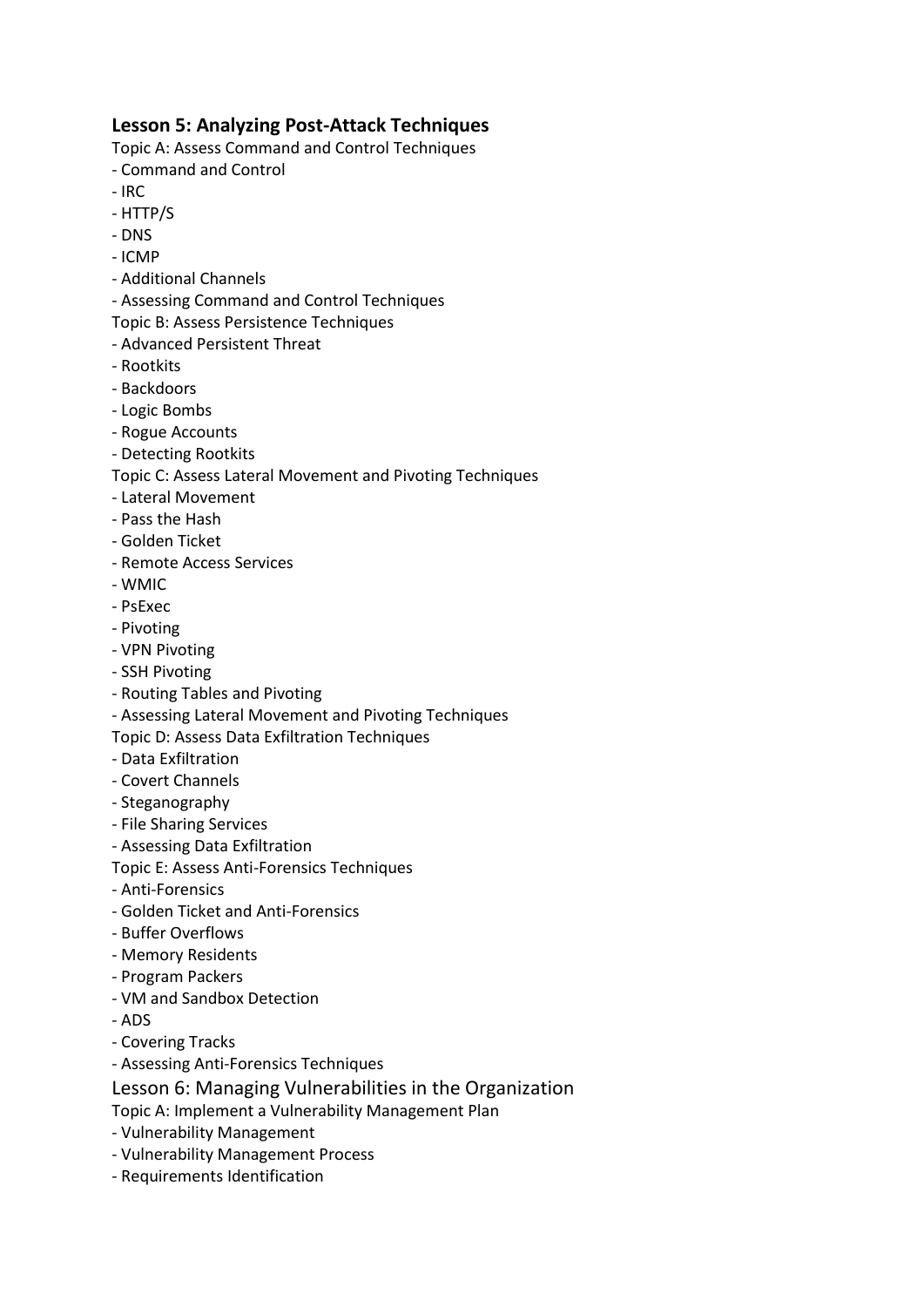#### **Lesson 5: Analyzing Post-Attack Techniques**

Topic A: Assess Command and Control Techniques

- Command and Control
- $-$  IRC.
- HTTP/S
- DNS
- ICMP
- Additional Channels
- Assessing Command and Control Techniques
- Topic B: Assess Persistence Techniques
- Advanced Persistent Threat
- Rootkits
- Backdoors
- Logic Bombs
- Rogue Accounts
- Detecting Rootkits
- Topic C: Assess Lateral Movement and Pivoting Techniques
- Lateral Movement
- Pass the Hash
- Golden Ticket
- Remote Access Services
- WMIC
- PsExec
- Pivoting
- VPN Pivoting
- SSH Pivoting
- Routing Tables and Pivoting
- Assessing Lateral Movement and Pivoting Techniques
- Topic D: Assess Data Exfiltration Techniques
- Data Exfiltration
- Covert Channels
- Steganography
- File Sharing Services
- Assessing Data Exfiltration
- Topic E: Assess Anti-Forensics Techniques
- Anti-Forensics
- Golden Ticket and Anti-Forensics
- Buffer Overflows
- Memory Residents
- Program Packers
- VM and Sandbox Detection
- ADS
- Covering Tracks
- Assessing Anti-Forensics Techniques
- Lesson 6: Managing Vulnerabilities in the Organization
- Topic A: Implement a Vulnerability Management Plan
- Vulnerability Management
- Vulnerability Management Process
- Requirements Identification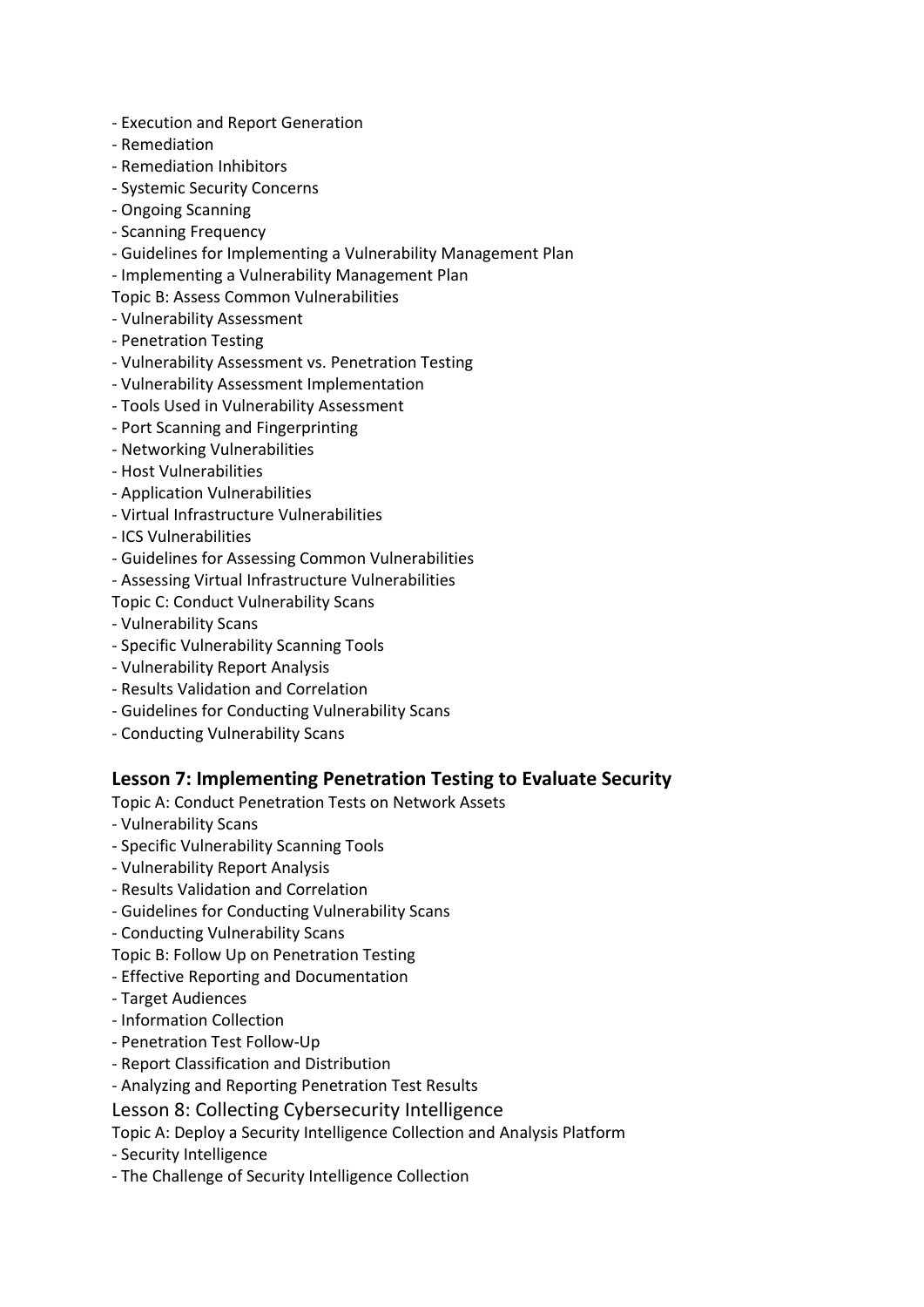- Execution and Report Generation
- Remediation
- Remediation Inhibitors
- Systemic Security Concerns
- Ongoing Scanning
- Scanning Frequency
- Guidelines for Implementing a Vulnerability Management Plan
- Implementing a Vulnerability Management Plan
- Topic B: Assess Common Vulnerabilities
- Vulnerability Assessment
- Penetration Testing
- Vulnerability Assessment vs. Penetration Testing
- Vulnerability Assessment Implementation
- Tools Used in Vulnerability Assessment
- Port Scanning and Fingerprinting
- Networking Vulnerabilities
- Host Vulnerabilities
- Application Vulnerabilities
- Virtual Infrastructure Vulnerabilities
- ICS Vulnerabilities
- Guidelines for Assessing Common Vulnerabilities
- Assessing Virtual Infrastructure Vulnerabilities
- Topic C: Conduct Vulnerability Scans
- Vulnerability Scans
- Specific Vulnerability Scanning Tools
- Vulnerability Report Analysis
- Results Validation and Correlation
- Guidelines for Conducting Vulnerability Scans
- Conducting Vulnerability Scans

#### **Lesson 7: Implementing Penetration Testing to Evaluate Security**

Topic A: Conduct Penetration Tests on Network Assets

- Vulnerability Scans
- Specific Vulnerability Scanning Tools
- Vulnerability Report Analysis
- Results Validation and Correlation
- Guidelines for Conducting Vulnerability Scans
- Conducting Vulnerability Scans
- Topic B: Follow Up on Penetration Testing
- Effective Reporting and Documentation
- Target Audiences
- Information Collection
- Penetration Test Follow-Up
- Report Classification and Distribution
- Analyzing and Reporting Penetration Test Results
- Lesson 8: Collecting Cybersecurity Intelligence
- Topic A: Deploy a Security Intelligence Collection and Analysis Platform
- Security Intelligence
- The Challenge of Security Intelligence Collection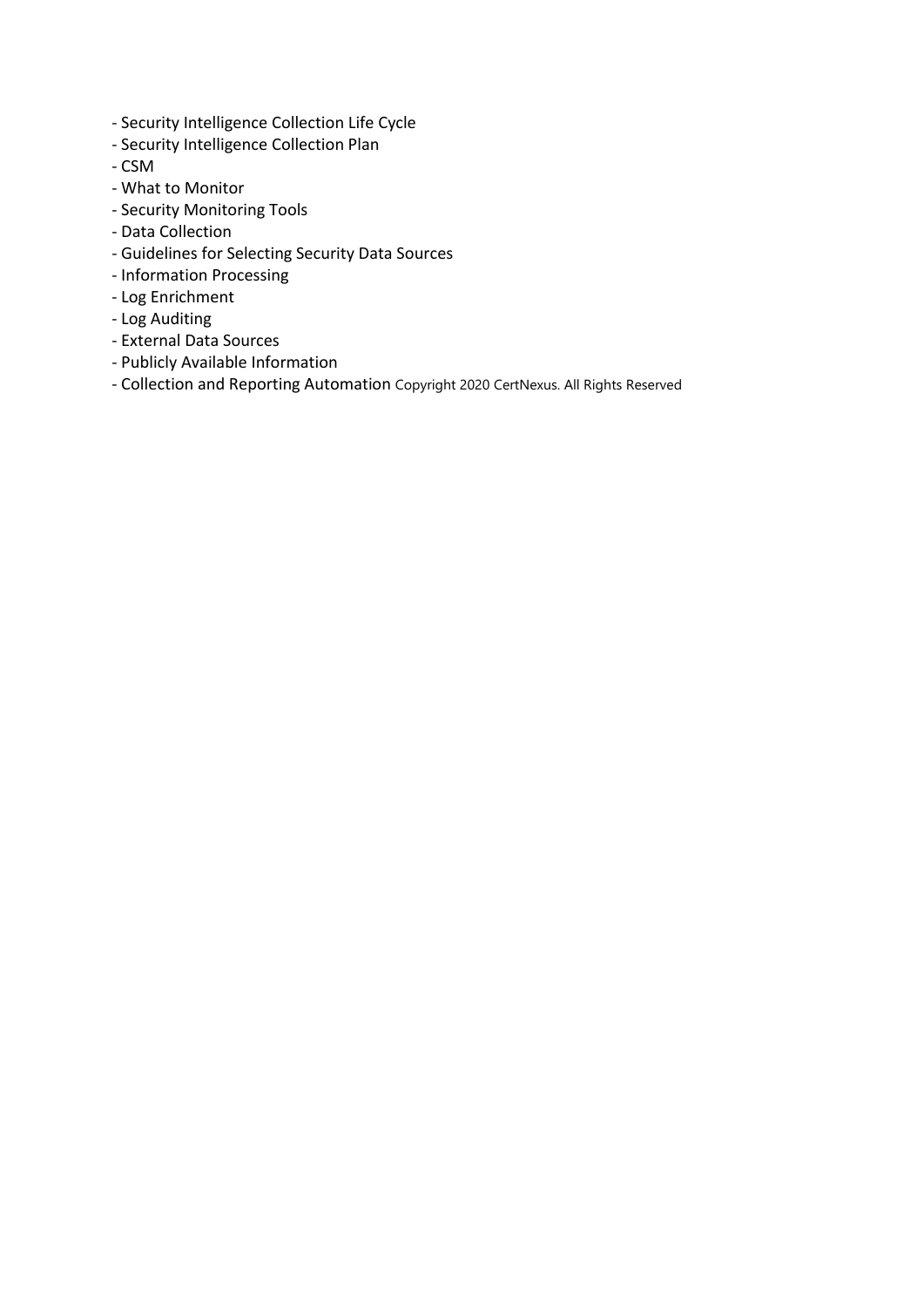- Security Intelligence Collection Life Cycle
- Security Intelligence Collection Plan
- CSM
- What to Monitor
- Security Monitoring Tools
- Data Collection
- Guidelines for Selecting Security Data Sources
- Information Processing
- Log Enrichment
- Log Auditing
- External Data Sources
- Publicly Available Information
- Collection and Reporting Automation Copyright 2020 CertNexus. All Rights Reserved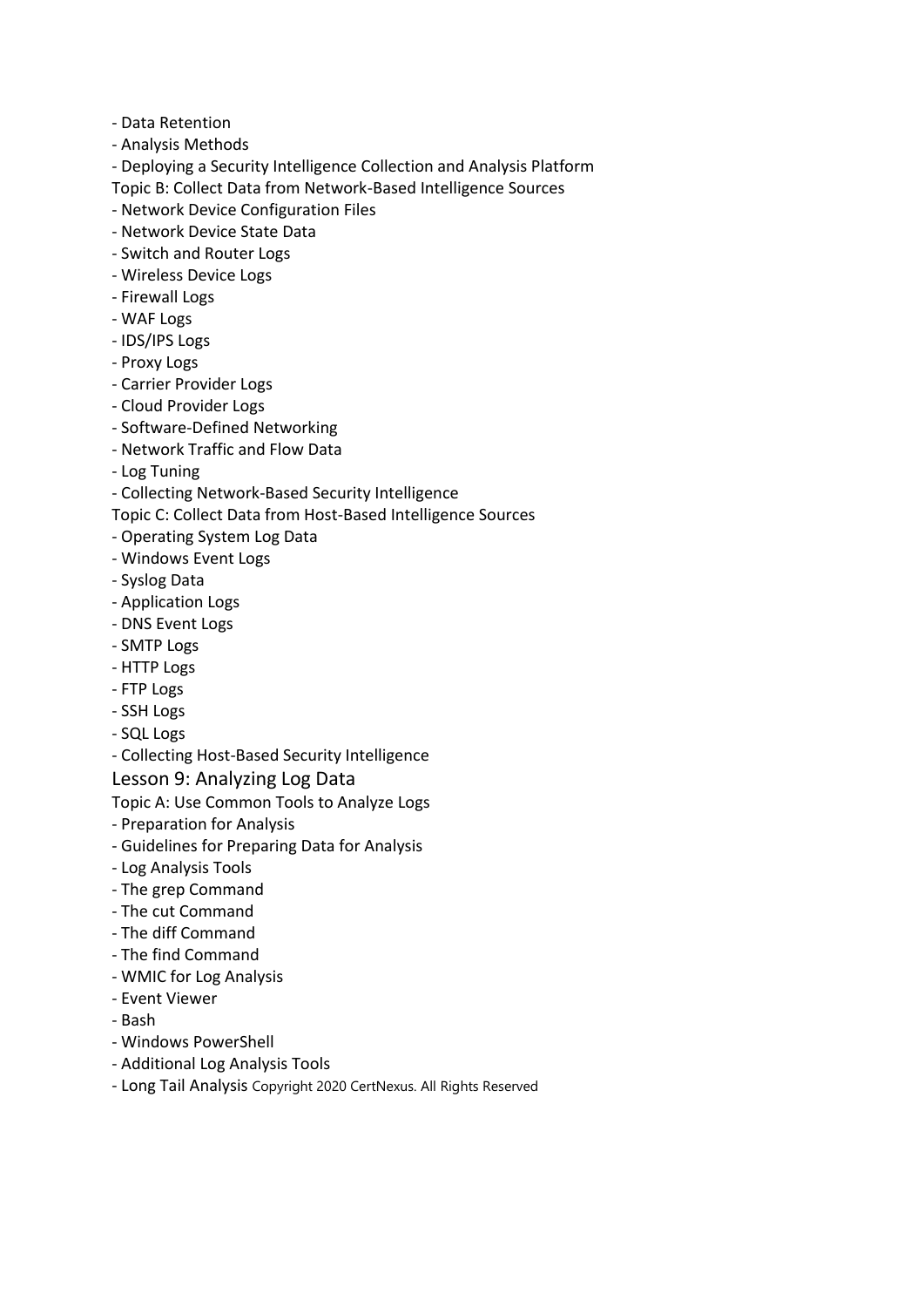- Data Retention
- Analysis Methods
- Deploying a Security Intelligence Collection and Analysis Platform
- Topic B: Collect Data from Network-Based Intelligence Sources
- Network Device Configuration Files
- Network Device State Data
- Switch and Router Logs
- Wireless Device Logs
- Firewall Logs
- WAF Logs
- IDS/IPS Logs
- Proxy Logs
- Carrier Provider Logs
- Cloud Provider Logs
- Software-Defined Networking
- Network Traffic and Flow Data
- Log Tuning
- Collecting Network-Based Security Intelligence
- Topic C: Collect Data from Host-Based Intelligence Sources
- Operating System Log Data
- Windows Event Logs
- Syslog Data
- Application Logs
- DNS Event Logs
- SMTP Logs
- HTTP Logs
- FTP Logs
- SSH Logs
- SQL Logs
- Collecting Host-Based Security Intelligence

#### Lesson 9: Analyzing Log Data

Topic A: Use Common Tools to Analyze Logs

- Preparation for Analysis
- Guidelines for Preparing Data for Analysis
- Log Analysis Tools
- The grep Command
- The cut Command
- The diff Command
- The find Command
- WMIC for Log Analysis
- Event Viewer
- Bash
- Windows PowerShell
- Additional Log Analysis Tools
- Long Tail Analysis Copyright 2020 CertNexus. All Rights Reserved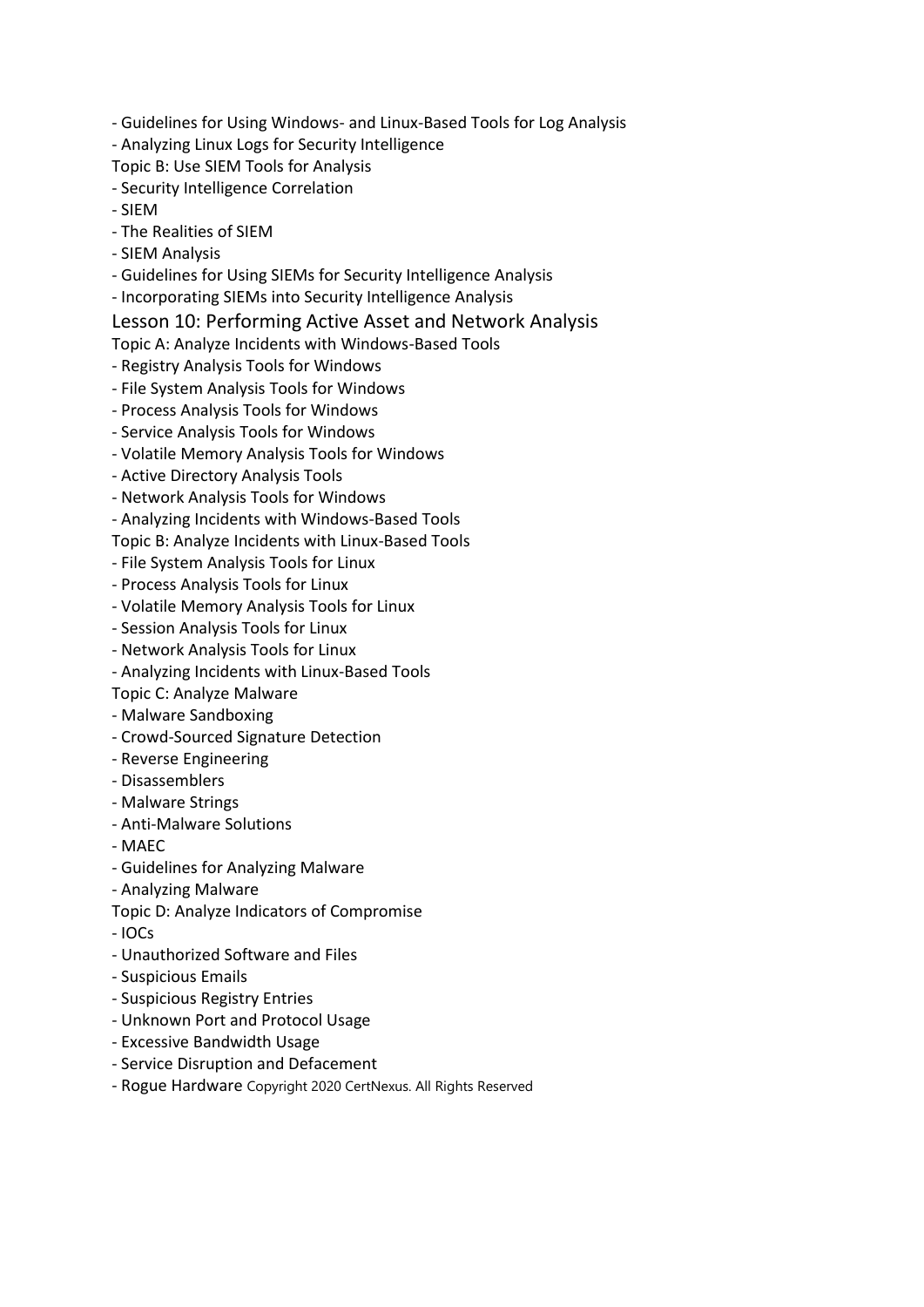- Guidelines for Using Windows- and Linux-Based Tools for Log Analysis
- Analyzing Linux Logs for Security Intelligence
- Topic B: Use SIEM Tools for Analysis
- Security Intelligence Correlation
- SIEM
- The Realities of SIEM
- SIEM Analysis
- Guidelines for Using SIEMs for Security Intelligence Analysis
- Incorporating SIEMs into Security Intelligence Analysis

#### Lesson 10: Performing Active Asset and Network Analysis

- Topic A: Analyze Incidents with Windows-Based Tools
- Registry Analysis Tools for Windows
- File System Analysis Tools for Windows
- Process Analysis Tools for Windows
- Service Analysis Tools for Windows
- Volatile Memory Analysis Tools for Windows
- Active Directory Analysis Tools
- Network Analysis Tools for Windows
- Analyzing Incidents with Windows-Based Tools
- Topic B: Analyze Incidents with Linux-Based Tools
- File System Analysis Tools for Linux
- Process Analysis Tools for Linux
- Volatile Memory Analysis Tools for Linux
- Session Analysis Tools for Linux
- Network Analysis Tools for Linux
- Analyzing Incidents with Linux-Based Tools
- Topic C: Analyze Malware
- Malware Sandboxing
- Crowd-Sourced Signature Detection
- Reverse Engineering
- Disassemblers
- Malware Strings
- Anti-Malware Solutions
- MAEC
- Guidelines for Analyzing Malware
- Analyzing Malware
- Topic D: Analyze Indicators of Compromise
- IOCs
- Unauthorized Software and Files
- Suspicious Emails
- Suspicious Registry Entries
- Unknown Port and Protocol Usage
- Excessive Bandwidth Usage
- Service Disruption and Defacement
- Rogue Hardware Copyright 2020 CertNexus. All Rights Reserved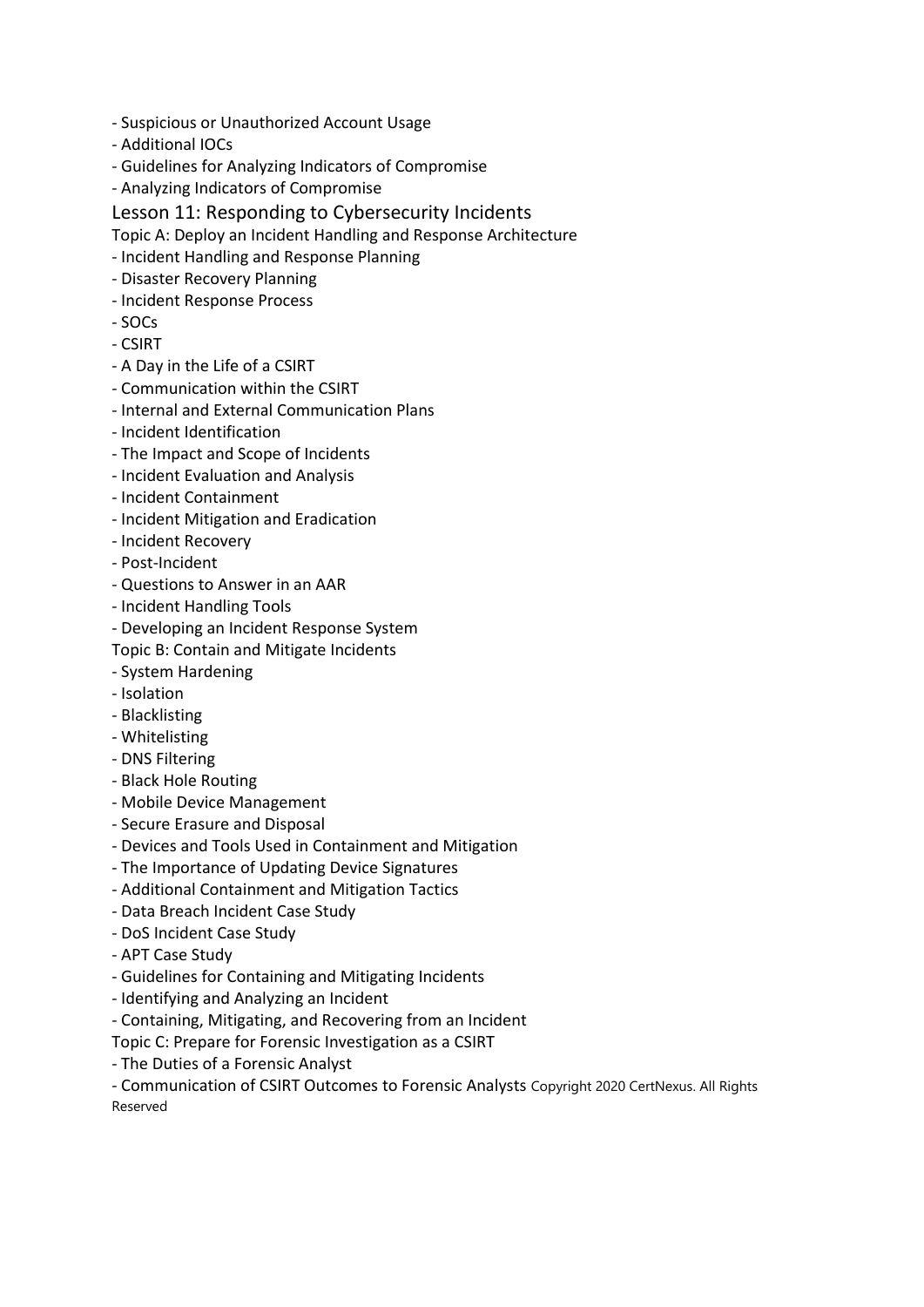- Suspicious or Unauthorized Account Usage
- Additional IOCs
- Guidelines for Analyzing Indicators of Compromise
- Analyzing Indicators of Compromise
- Lesson 11: Responding to Cybersecurity Incidents
- Topic A: Deploy an Incident Handling and Response Architecture
- Incident Handling and Response Planning
- Disaster Recovery Planning
- Incident Response Process
- SOCs
- CSIRT
- A Day in the Life of a CSIRT
- Communication within the CSIRT
- Internal and External Communication Plans
- Incident Identification
- The Impact and Scope of Incidents
- Incident Evaluation and Analysis
- Incident Containment
- Incident Mitigation and Eradication
- Incident Recovery
- Post-Incident
- Questions to Answer in an AAR
- Incident Handling Tools
- Developing an Incident Response System
- Topic B: Contain and Mitigate Incidents
- System Hardening
- Isolation
- Blacklisting
- Whitelisting
- DNS Filtering
- Black Hole Routing
- Mobile Device Management
- Secure Erasure and Disposal
- Devices and Tools Used in Containment and Mitigation
- The Importance of Updating Device Signatures
- Additional Containment and Mitigation Tactics
- Data Breach Incident Case Study
- DoS Incident Case Study
- APT Case Study
- Guidelines for Containing and Mitigating Incidents
- Identifying and Analyzing an Incident
- Containing, Mitigating, and Recovering from an Incident

Topic C: Prepare for Forensic Investigation as a CSIRT

- The Duties of a Forensic Analyst

- Communication of CSIRT Outcomes to Forensic Analysts Copyright 2020 CertNexus. All Rights Reserved